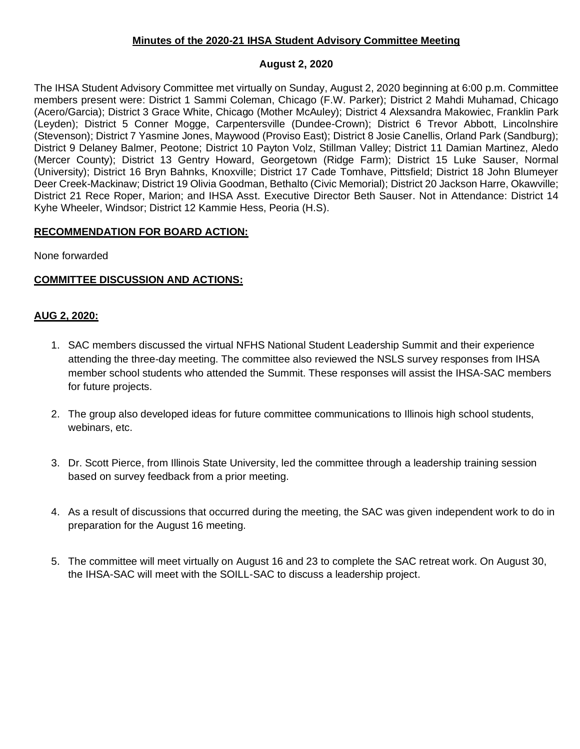## **Minutes of the 2020-21 IHSA Student Advisory Committee Meeting**

## **August 2, 2020**

The IHSA Student Advisory Committee met virtually on Sunday, August 2, 2020 beginning at 6:00 p.m. Committee members present were: District 1 Sammi Coleman, Chicago (F.W. Parker); District 2 Mahdi Muhamad, Chicago (Acero/Garcia); District 3 Grace White, Chicago (Mother McAuley); District 4 Alexsandra Makowiec, Franklin Park (Leyden); District 5 Conner Mogge, Carpentersville (Dundee-Crown); District 6 Trevor Abbott, Lincolnshire (Stevenson); District 7 Yasmine Jones, Maywood (Proviso East); District 8 Josie Canellis, Orland Park (Sandburg); District 9 Delaney Balmer, Peotone; District 10 Payton Volz, Stillman Valley; District 11 Damian Martinez, Aledo (Mercer County); District 13 Gentry Howard, Georgetown (Ridge Farm); District 15 Luke Sauser, Normal (University); District 16 Bryn Bahnks, Knoxville; District 17 Cade Tomhave, Pittsfield; District 18 John Blumeyer Deer Creek-Mackinaw; District 19 Olivia Goodman, Bethalto (Civic Memorial); District 20 Jackson Harre, Okawville; District 21 Rece Roper, Marion; and IHSA Asst. Executive Director Beth Sauser. Not in Attendance: District 14 Kyhe Wheeler, Windsor; District 12 Kammie Hess, Peoria (H.S).

## **RECOMMENDATION FOR BOARD ACTION:**

None forwarded

## **COMMITTEE DISCUSSION AND ACTIONS:**

## **AUG 2, 2020:**

- 1. SAC members discussed the virtual NFHS National Student Leadership Summit and their experience attending the three-day meeting. The committee also reviewed the NSLS survey responses from IHSA member school students who attended the Summit. These responses will assist the IHSA-SAC members for future projects.
- 2. The group also developed ideas for future committee communications to Illinois high school students, webinars, etc.
- 3. Dr. Scott Pierce, from Illinois State University, led the committee through a leadership training session based on survey feedback from a prior meeting.
- 4. As a result of discussions that occurred during the meeting, the SAC was given independent work to do in preparation for the August 16 meeting.
- 5. The committee will meet virtually on August 16 and 23 to complete the SAC retreat work. On August 30, the IHSA-SAC will meet with the SOILL-SAC to discuss a leadership project.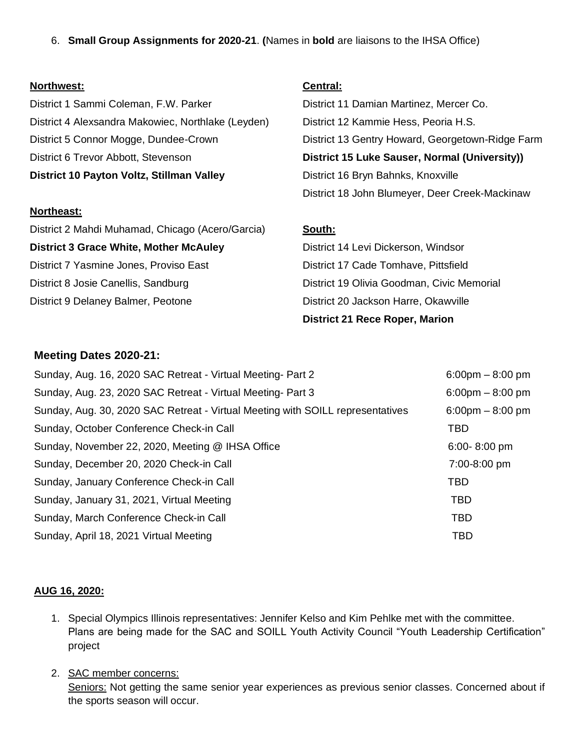6. **Small Group Assignments for 2020-21**. **(**Names in **bold** are liaisons to the IHSA Office)

#### **Northwest:**

District 1 Sammi Coleman, F.W. Parker District 4 Alexsandra Makowiec, Northlake (Leyden) District 5 Connor Mogge, Dundee-Crown District 6 Trevor Abbott, Stevenson **District 10 Payton Voltz, Stillman Valley** 

#### **Northeast:**

District 2 Mahdi Muhamad, Chicago (Acero/Garcia) **District 3 Grace White, Mother McAuley** District 7 Yasmine Jones, Proviso East District 8 Josie Canellis, Sandburg District 9 Delaney Balmer, Peotone

# **Central:**

District 11 Damian Martinez, Mercer Co. District 12 Kammie Hess, Peoria H.S. District 13 Gentry Howard, Georgetown-Ridge Farm **District 15 Luke Sauser, Normal (University))** District 16 Bryn Bahnks, Knoxville District 18 John Blumeyer, Deer Creek-Mackinaw

# **South:**

District 14 Levi Dickerson, Windsor District 17 Cade Tomhave, Pittsfield District 19 Olivia Goodman, Civic Memorial District 20 Jackson Harre, Okawville **District 21 Rece Roper, Marion**

# **Meeting Dates 2020-21:**

| Sunday, Aug. 16, 2020 SAC Retreat - Virtual Meeting- Part 2                    | $6:00 \text{pm} - 8:00 \text{pm}$ |
|--------------------------------------------------------------------------------|-----------------------------------|
| Sunday, Aug. 23, 2020 SAC Retreat - Virtual Meeting- Part 3                    | $6:00 \text{pm} - 8:00 \text{pm}$ |
| Sunday, Aug. 30, 2020 SAC Retreat - Virtual Meeting with SOILL representatives | $6:00 \text{pm} - 8:00 \text{pm}$ |
| Sunday, October Conference Check-in Call                                       | TBD                               |
| Sunday, November 22, 2020, Meeting @ IHSA Office                               | 6:00-8:00 pm                      |
| Sunday, December 20, 2020 Check-in Call                                        | 7:00-8:00 pm                      |
| Sunday, January Conference Check-in Call                                       | <b>TBD</b>                        |
| Sunday, January 31, 2021, Virtual Meeting                                      | <b>TBD</b>                        |
| Sunday, March Conference Check-in Call                                         | <b>TBD</b>                        |
| Sunday, April 18, 2021 Virtual Meeting                                         | <b>TBD</b>                        |

## **AUG 16, 2020:**

- 1. Special Olympics Illinois representatives: Jennifer Kelso and Kim Pehlke met with the committee. Plans are being made for the SAC and SOILL Youth Activity Council "Youth Leadership Certification" project
- 2. SAC member concerns: Seniors: Not getting the same senior year experiences as previous senior classes. Concerned about if the sports season will occur.